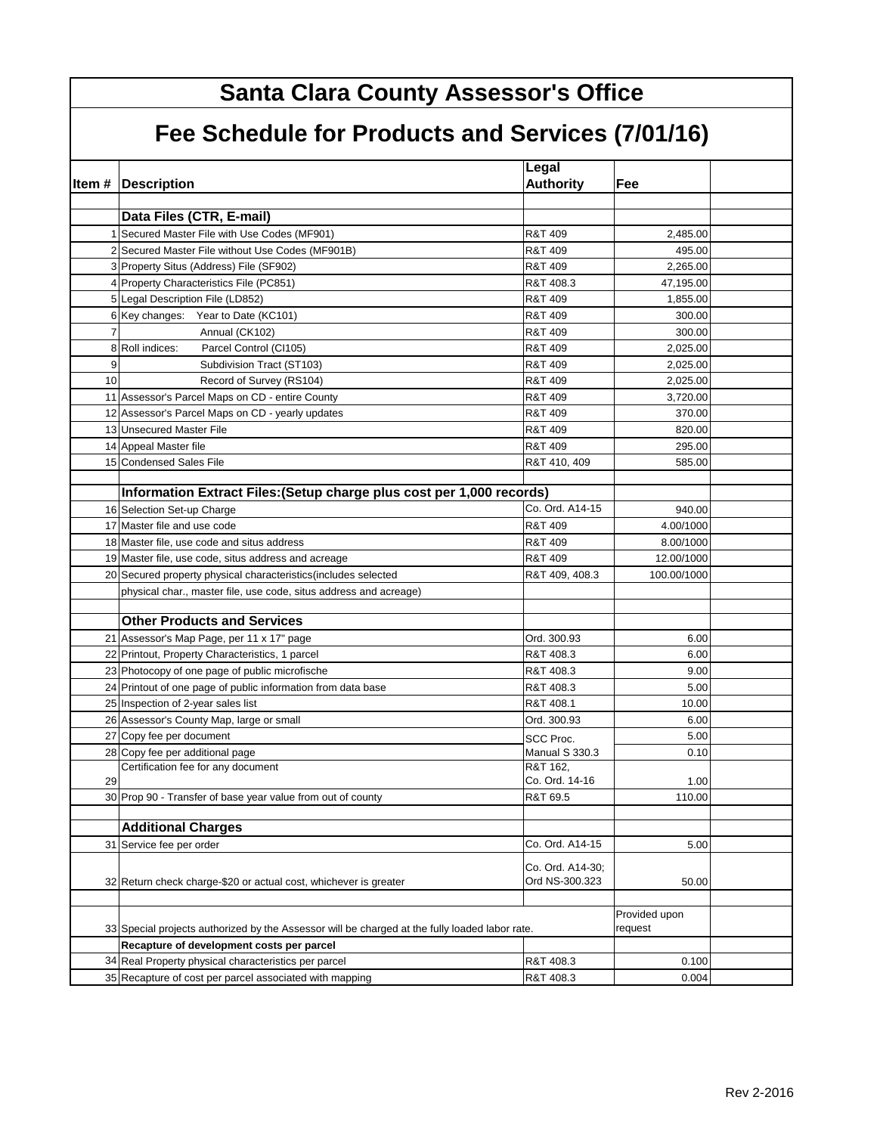| <b>Santa Clara County Assessor's Office</b>      |                                                                                                |                                    |                          |  |  |  |
|--------------------------------------------------|------------------------------------------------------------------------------------------------|------------------------------------|--------------------------|--|--|--|
| Fee Schedule for Products and Services (7/01/16) |                                                                                                |                                    |                          |  |  |  |
|                                                  | <b>Item # Description</b>                                                                      | Legal<br><b>Authority</b>          | Fee                      |  |  |  |
|                                                  | Data Files (CTR, E-mail)                                                                       |                                    |                          |  |  |  |
|                                                  | 1 Secured Master File with Use Codes (MF901)                                                   | R&T 409                            | 2,485.00                 |  |  |  |
|                                                  | 2 Secured Master File without Use Codes (MF901B)                                               | R&T 409                            | 495.00                   |  |  |  |
|                                                  | 3 Property Situs (Address) File (SF902)                                                        | R&T 409                            | 2,265.00                 |  |  |  |
|                                                  | 4 Property Characteristics File (PC851)                                                        | R&T 408.3                          | 47,195.00                |  |  |  |
|                                                  | 5 Legal Description File (LD852)                                                               | R&T 409                            | 1,855.00                 |  |  |  |
|                                                  | 6 Key changes: Year to Date (KC101)                                                            | R&T 409                            | 300.00                   |  |  |  |
| 7                                                | Annual (CK102)                                                                                 | R&T 409                            | 300.00                   |  |  |  |
|                                                  | Parcel Control (Cl105)<br>8 Roll indices:                                                      | R&T 409                            | 2,025.00                 |  |  |  |
| 9                                                | Subdivision Tract (ST103)                                                                      | R&T 409                            | 2,025.00                 |  |  |  |
| 10                                               | Record of Survey (RS104)                                                                       | R&T 409                            | 2,025.00                 |  |  |  |
|                                                  | 11 Assessor's Parcel Maps on CD - entire County                                                | R&T 409                            | 3,720.00                 |  |  |  |
|                                                  | 12 Assessor's Parcel Maps on CD - yearly updates                                               | R&T 409                            | 370.00                   |  |  |  |
|                                                  | 13 Unsecured Master File                                                                       | R&T 409                            | 820.00                   |  |  |  |
|                                                  | 14 Appeal Master file                                                                          | R&T 409                            | 295.00                   |  |  |  |
|                                                  | 15 Condensed Sales File                                                                        |                                    | 585.00                   |  |  |  |
|                                                  |                                                                                                | R&T 410, 409                       |                          |  |  |  |
|                                                  | Information Extract Files: (Setup charge plus cost per 1,000 records)                          |                                    |                          |  |  |  |
|                                                  | 16 Selection Set-up Charge                                                                     | Co. Ord. A14-15                    | 940.00                   |  |  |  |
|                                                  | 17 Master file and use code                                                                    | R&T 409                            | 4.00/1000                |  |  |  |
|                                                  | 18 Master file, use code and situs address                                                     | R&T 409                            | 8.00/1000                |  |  |  |
|                                                  | 19 Master file, use code, situs address and acreage                                            | R&T 409                            | 12.00/1000               |  |  |  |
|                                                  | 20 Secured property physical characteristics (includes selected                                | R&T 409, 408.3                     | 100.00/1000              |  |  |  |
|                                                  |                                                                                                |                                    |                          |  |  |  |
|                                                  | physical char., master file, use code, situs address and acreage)                              |                                    |                          |  |  |  |
|                                                  | <b>Other Products and Services</b>                                                             |                                    |                          |  |  |  |
|                                                  | 21 Assessor's Map Page, per 11 x 17" page                                                      | Ord. 300.93                        | 6.00                     |  |  |  |
|                                                  | 22 Printout, Property Characteristics, 1 parcel                                                | R&T 408.3                          | 6.00                     |  |  |  |
|                                                  | 23 Photocopy of one page of public microfische                                                 | R&T 408.3                          | 9.00                     |  |  |  |
|                                                  | 24 Printout of one page of public information from data base                                   | R&T 408.3                          | 5.00                     |  |  |  |
|                                                  | 25 Inspection of 2-year sales list                                                             | R&T 408.1                          | 10.00                    |  |  |  |
|                                                  | 26 Assessor's County Map, large or small                                                       | Ord. 300.93                        | 6.00                     |  |  |  |
|                                                  | 27 Copy fee per document                                                                       | SCC Proc.                          | 5.00                     |  |  |  |
|                                                  | 28 Copy fee per additional page                                                                | Manual S 330.3                     | 0.10                     |  |  |  |
|                                                  | Certification fee for any document                                                             | R&T 162,                           |                          |  |  |  |
| 29                                               |                                                                                                | Co. Ord. 14-16                     | 1.00                     |  |  |  |
|                                                  | 30 Prop 90 - Transfer of base year value from out of county                                    | R&T 69.5                           | 110.00                   |  |  |  |
|                                                  | <b>Additional Charges</b>                                                                      |                                    |                          |  |  |  |
|                                                  | 31 Service fee per order                                                                       | Co. Ord. A14-15                    | 5.00                     |  |  |  |
|                                                  |                                                                                                |                                    |                          |  |  |  |
|                                                  | 32 Return check charge-\$20 or actual cost, whichever is greater                               | Co. Ord. A14-30;<br>Ord NS-300.323 | 50.00                    |  |  |  |
|                                                  | 33 Special projects authorized by the Assessor will be charged at the fully loaded labor rate. |                                    | Provided upon<br>request |  |  |  |
|                                                  | Recapture of development costs per parcel                                                      |                                    |                          |  |  |  |
|                                                  | 34 Real Property physical characteristics per parcel                                           | R&T 408.3                          | 0.100                    |  |  |  |
|                                                  | 35 Recapture of cost per parcel associated with mapping                                        | R&T 408.3                          | 0.004                    |  |  |  |